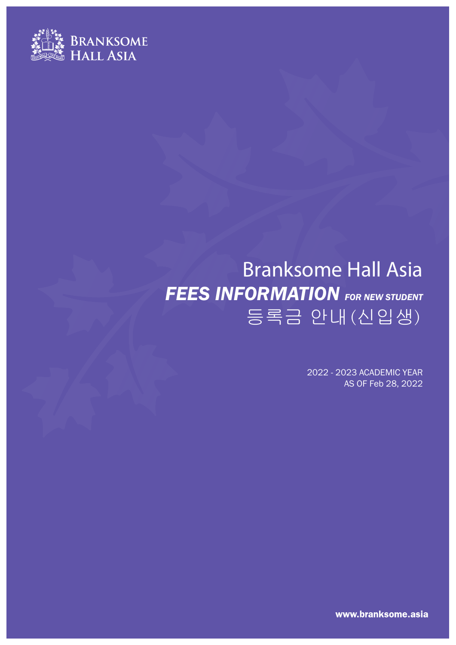

# Branksome Hall Asia **FEES INFORMATION** FOR NEW STUDENT 등록금 안내(신입생)

2022 - 2023 ACADEMIC YEAR AS OF Feb 28, 2022

www.branksome.asia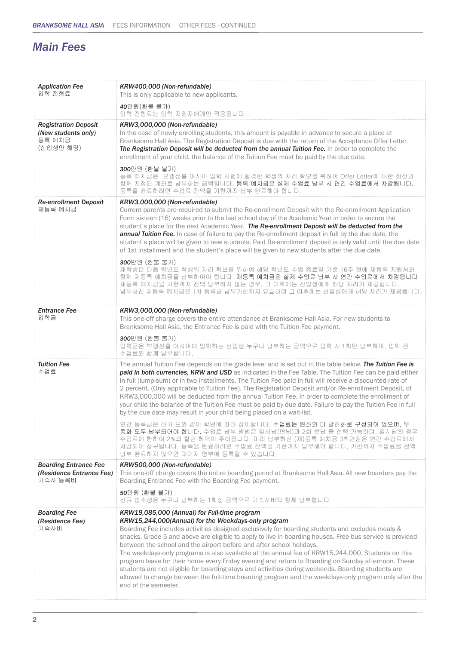# *Main Fees*

| <b>Application Fee</b><br>입학 전형료                                          | KRW400,000 (Non-refundable)<br>This is only applicable to new applicants.                                                                                                                                                                                                                                                                                                                                                                                                                                                                                                                                                                                                                                                                                                                                                                                                                                 |
|---------------------------------------------------------------------------|-----------------------------------------------------------------------------------------------------------------------------------------------------------------------------------------------------------------------------------------------------------------------------------------------------------------------------------------------------------------------------------------------------------------------------------------------------------------------------------------------------------------------------------------------------------------------------------------------------------------------------------------------------------------------------------------------------------------------------------------------------------------------------------------------------------------------------------------------------------------------------------------------------------|
|                                                                           | 40만원(환불 불가)<br>입학 전형료는 입학 지원자에게만 적용됩니다.                                                                                                                                                                                                                                                                                                                                                                                                                                                                                                                                                                                                                                                                                                                                                                                                                                                                   |
| <b>Registration Deposit</b><br>(New students only)<br>등록 예치금<br>(신입생만 해당) | KRW3,000,000 (Non-refundable)<br>In the case of newly enrolling students, this amount is payable in advance to secure a place at<br>Branksome Hall Asia. The Registration Deposit is due with the return of the Acceptance Offer Letter.<br>The Registration Deposit will be deducted from the annual Tuition Fee. In order to complete the<br>enrollment of your child, the balance of the Tuition Fee must be paid by the due date.<br>300만원 (환불 불가)<br>등록 예치금은 브랭섬홀 아시아 입학 시험에 합격한 학생의 자리 확보를 위하여 Offer Letter에 대한 회신과<br>함께 지정된 계좌로 납부하는 금액입니다. 등록 예치금은 실제 수업료 납부 시 연간 수업료에서 차감됩니다.                                                                                                                                                                                                                                                                                                                   |
| <b>Re-enrollment Deposit</b>                                              | 등록을 완료하려면 수업료 잔액을 기한까지 납부 완료해야 합니다.<br>KRW3,000,000 (Non-refundable)                                                                                                                                                                                                                                                                                                                                                                                                                                                                                                                                                                                                                                                                                                                                                                                                                                      |
| 재등록 예치금                                                                   | Current parents are required to submit the Re-enrollment Deposit with the Re-enrollment Application<br>Form sixteen (16) weeks prior to the last school day of the Academic Year in order to secure the<br>student's place for the next Academic Year. The Re-enrollment Deposit will be deducted from the<br>annual Tuition Fee. In case of failure to pay the Re-enrollment deposit in full by the due date, the<br>student's place will be given to new students. Paid Re-enrollment deposit is only valid until the due date<br>of 1st installment and the student's place will be given to new students after the due date.<br>300만원 (환불 불가)<br>재학생은 다음 학년도 학생의 자리 확보를 위하여 해당 학년도 수업 종료일 기준 16주 전에 재등록 지원서와<br>함께 재등록 예치금을 납부하여야 합니다. 재등록 예치금은 실제 수업료 납부 시 연간 수업료에서 차감됩니다.<br>재등록 예치금을 기한까지 전액 납부하지 않는 경우, 그 이후에는 신입생에게 해당 자리가 제공됩니다.<br>납부하신 재등록 예치금은 1차 등록금 납부기한까지 유효하며 그 이후에는 신입생에게 해당 자리가 제공됩니다. |
| <b>Entrance Fee</b><br>입학금                                                | KRW3,000,000 (Non-refundable)<br>This one-off charge covers the entire attendance at Branksome Hall Asia. For new students to                                                                                                                                                                                                                                                                                                                                                                                                                                                                                                                                                                                                                                                                                                                                                                             |
|                                                                           | Branksome Hall Asia, the Entrance Fee is paid with the Tuition Fee payment.                                                                                                                                                                                                                                                                                                                                                                                                                                                                                                                                                                                                                                                                                                                                                                                                                               |
|                                                                           | 300만원 (환불 불가)<br>입학금은 브랭섬홀 아시아에 입학하는 신입생 누구나 납부하는 금액으로 입학 시 1회만 납부하며, 입학 전<br>수업료와 함께 납부합니다.                                                                                                                                                                                                                                                                                                                                                                                                                                                                                                                                                                                                                                                                                                                                                                                                              |
| <b>Tuition Fee</b><br>수업료                                                 | The annual Tuition Fee depends on the grade level and is set out in the table below. The Tuition Fee is<br>paid in both currencies, KRW and USD as indicated in the Fee Table. The Tuition Fee can be paid either<br>in full (lump-sum) or in two installments. The Tuition Fee paid in full will receive a discounted rate of<br>2 percent. (Only applicable to Tuition Fee). The Registration Deposit and/or Re-enrollment Deposit, of<br>KRW3,000,000 will be deducted from the annual Tuition Fee. In order to complete the enrollment of<br>your child the balance of the Tuition Fee must be paid by due date. Failure to pay the Tuition Fee in full<br>by the due date may result in your child being placed on a wait-list.                                                                                                                                                                      |
|                                                                           | 연간 등록금은 하기 표와 같이 학년에 따라 상이합니다. 수업료는 원화와 미 달러화로 구성되어 있으며, 두<br>통화 모두 납부되어야 합니다. 수업료 납부 방법은 일시납(연납)과 2회 분납 중 선택 가능하며, 일시납의 경우<br>수업료에 한하여 2%의 할인 혜택이 주어집니다. 미리 납부하신 (재)등록 예치금 3백만원은 연간 수업료에서<br>차감되어 청구됩니다. 등록을 완료하려면 수업료 잔액을 기한까지 납부해야 합니다. 기한까지 수업료를 전액<br>납부 완료하지 않으면 대기자 명부에 등록될 수 있습니다.                                                                                                                                                                                                                                                                                                                                                                                                                                                                                                                                                                                                                |
| <b>Boarding Entrance Fee</b><br>(Residence Entrance Fee)                  | KRW500,000 (Non-refundable)<br>This one-off charge covers the entire boarding period at Branksome Hall Asia. All new boarders pay the                                                                                                                                                                                                                                                                                                                                                                                                                                                                                                                                                                                                                                                                                                                                                                     |
| 기숙사 등록비                                                                   | Boarding Entrance Fee with the Boarding Fee payment.<br>50만원 (환불 불가)<br>신규 입소생은 누구나 납부하는 1회성 금액으로 기숙사비와 함께 납부합니다.                                                                                                                                                                                                                                                                                                                                                                                                                                                                                                                                                                                                                                                                                                                                                                                         |
| <b>Boarding Fee</b><br>(Residence Fee)<br>기숙사비                            | KRW19,085,000 (Annual) for Full-time program<br>KRW15,244,000(Annual) for the Weekdays-only program<br>Boarding Fee includes activities designed exclusively for boarding students and excludes meals &<br>snacks. Grade 5 and above are eligible to apply to live in boarding houses. Free bus service is provided<br>between the school and the airport before and after school holidays.<br>The weekdays-only programs is also available at the annual fee of KRW15,244,000. Students on this<br>program leave for their home every Friday evening and return to Boarding on Sunday afternoon. These<br>students are not eligible for boarding stays and activities during weekends. Boarding students are<br>allowed to change between the full-time boarding program and the weekdays-only program only after the<br>end of the semester.                                                            |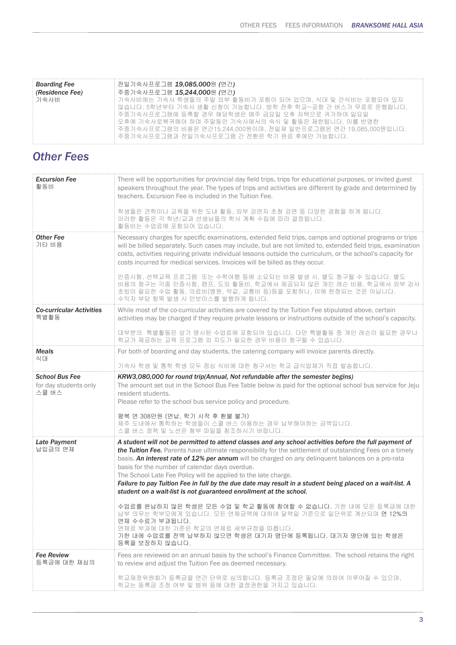| <b>Boarding Fee</b> | 전일기숙사프로그램 <b>19,085,000</b> 원 (연간)                                                                                                                                                                                                                                                                |
|---------------------|---------------------------------------------------------------------------------------------------------------------------------------------------------------------------------------------------------------------------------------------------------------------------------------------------|
| (Residence Fee)     | 주중기숙사프로그램 <b>15,244,000</b> 원 (연간)                                                                                                                                                                                                                                                                |
| 기숙사비                | 기숙사비에는 기숙사 학생들의 주말 외부 활동비가 포함이 되어 있으며. 식대 및 간식비는 포함되어 있지<br>않습니다. 5학년부터 기숙사 생활 신청이 가능합니다. 방학 전후 학교~공항 간 버스가 무료로 운행됩니다.<br>주중기숙사프로그램에 등록할 경우 해당학생은 매주 금요일 오후 자택으로 귀가하여 일요일<br>오후에 기숙사로복귀해야 하며 주말동안 기숙사에서의 숙식 및 활동은 제한됩니다. 이를 반영한<br>주중기숙사프로그램의 비용은 연간15.244.000원이며, 전일제 일반프로그램은 연간 19,085,000원입니다. |
|                     | 주중기숙사프로그램과 전일기숙사프로그램 간 전환은 학기 완료 후에만 가능합니다.                                                                                                                                                                                                                                                       |

### *Other Fees*

| <b>Excursion Fee</b><br>활동비                             | There will be opportunities for provincial day field trips, trips for educational purposes, or invited guest<br>speakers throughout the year. The types of trips and activities are different by grade and determined by<br>teachers. Excursion Fee is included in the Tuition Fee.<br>학생들은 견학이나 교육을 위한 도내 활동, 외부 강연자 초청 강연 등 다양한 경험을 하게 됩니다.<br>이러한 활동은 각 학년/교과 선생님들의 학사 계획 수립에 따라 결정됩니다.<br>활동비는 수업료에 포함되어 있습니다.                                                                                                                                                                                                                                                                                                                                                                                                                                                                                |
|---------------------------------------------------------|---------------------------------------------------------------------------------------------------------------------------------------------------------------------------------------------------------------------------------------------------------------------------------------------------------------------------------------------------------------------------------------------------------------------------------------------------------------------------------------------------------------------------------------------------------------------------------------------------------------------------------------------------------------------------------------------------------------------------------------------------------------------------------------------------------------------------------------------------------------------------------------------------|
| <b>Other Fee</b><br>기타 비용                               | Necessary charges for specific examinations, extended field trips, camps and optional programs or trips<br>will be billed separately. Such cases may include, but are not limited to, extended field trips, examination<br>costs, activities requiring private individual lessons outside the curriculum, or the school's capacity for<br>costs incurred for medical services. Invoices will be billed as they occur.<br>인증시험, 선택교육 프로그램 또는 수학여행 등에 소요되는 비용 발생 시, 별도 청구될 수 있습니다. 별도<br>비용의 청구는 각종 인증시험, 캠프, 도외 활동비, 학교에서 제공되지 않은 개인 레슨 비용, 학교에서 외부 강사<br>초빙이 필요한 수업 활동, 의료비(병원, 약값, 교통비 등)등을 포함하나, 이에 한정되는 것은 아닙니다.<br>수익자 부담 항목 발생 시 인보이스를 발행하게 됩니다.                                                                                                                                                                                                                                             |
| <b>Co-curricular Activities</b><br>특별활동                 | While most of the co-curricular activities are covered by the Tuition Fee stipulated above, certain<br>activities may be charged if they require private lessons or instructions outside of the school's capacity.<br>대부분의 특별활동은 상기 명시된 수업료에 포함되어 있습니다. 다만 특별활동 중 개인 레슨이 필요한 경우나<br>학교가 제공하는 교육 프로그램 외 지도가 필요한 경우 비용이 청구될 수 있습니다.                                                                                                                                                                                                                                                                                                                                                                                                                                                                                                                                                                 |
| <b>Meals</b><br>식대                                      | For both of boarding and day students, the catering company will invoice parents directly.<br>기숙사 학생 및 통학 학생 모두 점심 식비에 대한 청구서는 학교 급식업체가 직접 발송합니다.                                                                                                                                                                                                                                                                                                                                                                                                                                                                                                                                                                                                                                                                                                                                                 |
| <b>School Bus Fee</b><br>for day students only<br>스쿨 버스 | KRW3,080,000 for round trip(Annual, Not refundable after the semester begins)<br>The amount set out in the School Bus Fee Table below is paid for the optional school bus service for Jeju<br>resident students.<br>Please refer to the school bus service policy and procedure.<br>왕복 연 308만원 (연납, 학기 시작 후 환불 불가)<br>제주 도내에서 통학하는 학생들이 스쿨 버스 이용하는 경우 납부해야하는 금액입니다.<br>스쿨 버스 정책 및 노선은 첨부 파일을 참조하시기 바랍니다.                                                                                                                                                                                                                                                                                                                                                                                                                                                                                          |
| <b>Late Payment</b><br>납입금의 연체                          | A student will not be permitted to attend classes and any school activities before the full payment of<br>the Tuition Fee. Parents have ultimate responsibility for the settlement of outstanding Fees on a timely<br>basis. An interest rate of 12% per annum will be charged on any delinquent balances on a pro-rata<br>basis for the number of calendar days overdue.<br>The School Late Fee Policy will be applied to the late charge.<br>Failure to pay Tuition Fee in full by the due date may result in a student being placed on a wait-list. A<br>student on a wait-list is not guaranteed enrollment at the school.<br>수업료를 완납하지 않은 학생은 모든 수업 및 학교 활동에 참여할 수 없습니다. 기한 내에 모든 등록금에 대한<br>납부 의무는 학부모에게 있습니다. 모든 연체금액에 대하여 달력일 기준으로 일단위로 계산되며 연 12%의<br>연체 수수료가 부과됩니다.<br>연체료 부과에 대한 기준은 학교의 연체료 세부규정을 따릅니다.<br>기한 내에 수업료를 전액 납부하지 않으면 학생은 대기자 명단에 등록됩니다. 대기자 명단에 있는 학생은<br>등록을 보장하지 않습니다. |
| <b>Fee Review</b><br>등록금에 대한 재심의                        | Fees are reviewed on an annual basis by the school's Finance Committee. The school retains the right<br>to review and adjust the Tuition Fee as deemed necessary.<br>학교재정위원회가 등록금을 연간 단위로 심의합니다. 등록금 조정은 필요에 의하여 이루어질 수 있으며,<br>학교는 등록금 조정 여부 및 범위 등에 대한 결정권한을 가지고 있습니다.                                                                                                                                                                                                                                                                                                                                                                                                                                                                                                                                                                                                                          |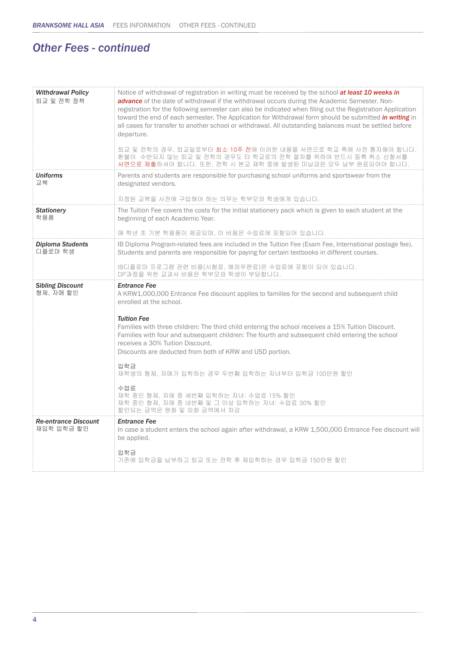# *Other Fees - continued*

| <b>Withdrawal Policy</b><br>퇴교 및 전학 정책 | Notice of withdrawal of registration in writing must be received by the school at least 10 weeks in<br>advance of the date of withdrawal if the withdrawal occurs during the Academic Semester. Non-<br>registration for the following semester can also be indicated when filing out the Registration Application<br>toward the end of each semester. The Application for Withdrawal form should be submitted <i>in writing</i> in<br>all cases for transfer to another school or withdrawal. All outstanding balances must be settled before<br>departure.<br>퇴교 및 전학의 경우, 퇴교일로부터 <b>최소 10주 전</b> 에 이러한 내용을 서면으로 학교 측에 사전 통지해야 합니다.<br>환불이 수반되지 않는 퇴교 및 전학의 경우도 타 학교로의 전학 절차를 위하여 반드시 등록 취소 신청서를<br>서면으로 제출하셔야 합니다. 또한, 전학 시 본교 재학 중에 발생된 미납금은 모두 납부 완료되어야 합니다. |
|----------------------------------------|-------------------------------------------------------------------------------------------------------------------------------------------------------------------------------------------------------------------------------------------------------------------------------------------------------------------------------------------------------------------------------------------------------------------------------------------------------------------------------------------------------------------------------------------------------------------------------------------------------------------------------------------------------------------------------------------------------------------------------------------------------------------|
| <b>Uniforms</b><br>교복                  | Parents and students are responsible for purchasing school uniforms and sportswear from the<br>designated vendors.<br>지정된 교복을 사전에 구입해야 하는 의무는 학부모와 학생에게 있습니다.                                                                                                                                                                                                                                                                                                                                                                                                                                                                                                                                                                                                     |
| <b>Stationery</b><br>학용품               | The Tuition Fee covers the costs for the initial stationery pack which is given to each student at the<br>beginning of each Academic Year.<br>매 학년 초 기본 학용품이 제공되며, 이 비용은 수업료에 포함되어 있습니다.                                                                                                                                                                                                                                                                                                                                                                                                                                                                                                                                                                          |
| <b>Diploma Students</b><br>디플로마 학생     | IB Diploma Program-related fees are included in the Tuition Fee (Exam Fee, International postage fee).<br>Students and parents are responsible for paying for certain textbooks in different courses.<br>IB디플로마 프로그램 관련 비용(시험료, 해외우편료)은 수업료에 포함이 되어 있습니다.<br>DP과정을 위한 교과서 비용은 학부모와 학생이 부담합니다.                                                                                                                                                                                                                                                                                                                                                                                                                                                                     |
|                                        |                                                                                                                                                                                                                                                                                                                                                                                                                                                                                                                                                                                                                                                                                                                                                                   |
| <b>Sibling Discount</b><br>형제, 자매 할인   | <b>Entrance Fee</b><br>A KRW1,000,000 Entrance Fee discount applies to families for the second and subsequent child<br>enrolled at the school.<br><b>Tuition Fee</b><br>Families with three children: The third child entering the school receives a 15% Tuition Discount.<br>Families with four and subsequent children: The fourth and subsequent child entering the school<br>receives a 30% Tuition Discount.<br>Discounts are deducted from both of KRW and USD portion.<br>입학금<br>재학생의 형제, 자매가 입학하는 경우 두번째 입학하는 자녀부터 입학금 100만원 할인<br>수업료<br>재학 중인 형제, 자매 중 세번째 입학하는 자녀: 수업료 15% 할인<br>재학 중인 형제, 자매 중 네번째 및 그 이상 입학하는 자녀: 수업료 30% 할인<br>할인되는 금액은 원화 및 외화 금액에서 차감                                                                                             |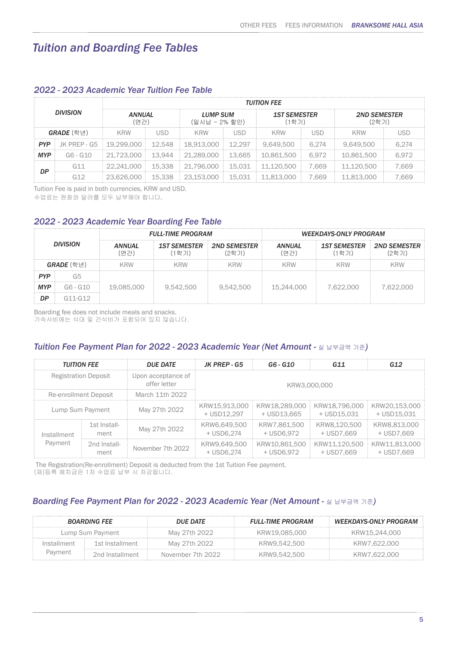## *Tuition and Boarding Fee Tables*

|                                          |                         | <b>TUITION FEE</b>               |        |                              |            |                              |       |            |             |
|------------------------------------------|-------------------------|----------------------------------|--------|------------------------------|------------|------------------------------|-------|------------|-------------|
| <b>DIVISION</b><br><b>ANNUAL</b><br>(여가) |                         | <b>LUMP SUM</b><br>(일시납 - 2% 할인) |        | <b>1ST SEMESTER</b><br>'1학기) |            | <b>2ND SEMESTER</b><br>(2학기) |       |            |             |
|                                          | GRADE (학년)              | <b>KRW</b>                       | -ISD   | <b>KRW</b>                   | <b>ISD</b> | KRW                          | LISD  | <b>KRW</b> | <b>IISD</b> |
| <b>PYP</b>                               | JK PREP - G5 19.299.000 |                                  | 12.548 | 18.913.000                   | 12.297     | 9.649.500                    | 6.274 | 9.649.500  | 6.274       |
| <b>MYP</b>                               | G6 - G10                | 21,723,000                       | 13.944 | 21,289,000                   | 13.665     | 10.861.500                   | 6.972 | 10,861,500 | 6.972       |
| DP                                       | G11                     | 22.241.000                       | 15,338 | 21,796,000                   | 15.031     | 11,120,500                   | 7.669 | 11.120.500 | 7.669       |
|                                          | G1つ                     | 23.626.000                       | 15.338 | 23,153,000                   | 15.031     | 11.813.000                   | 7.669 | 11.813.000 | 7.669       |

### *2022 - 2023 Academic Year Tuition Fee Table*

Tuition Fee is paid in both currencies, KRW and USD.

수업료는 원화와 달러를 모두 납부해야 합니다.

### *2022 - 2023 Academic Year Boarding Fee Table*

|            |                   |                       | <b>FULL-TIME PROGRAM</b>     |                              | <b>WEEKDAYS-ONLY PROGRAM</b> |                              |                              |
|------------|-------------------|-----------------------|------------------------------|------------------------------|------------------------------|------------------------------|------------------------------|
|            | <b>DIVISION</b>   | <b>ANNUAL</b><br>(연간) | <b>1ST SEMESTER</b><br>(1학기) | <b>2ND SEMESTER</b><br>(2한기) | ANNUAL<br>'여가)               | <b>1ST SEMESTER</b><br>(1학기) | <b>2ND SEMESTER</b><br>(2학기) |
|            | <b>GRADE</b> (학년) | KRW                   | <b>KRW</b>                   | KRW                          | KRW                          | KRW                          | KRW                          |
| <b>PYP</b> | G5                |                       |                              |                              |                              |                              |                              |
| <b>MYP</b> | $G6 - G10$        | 19,085,000            | 9.542.500                    | 9,542,500                    | 15,244,000                   | 7.622.000                    | 7.622.000                    |
| DP         | $G11-G12$         |                       |                              |                              |                              |                              |                              |

Boarding fee does not include meals and snacks.

기숙사비에는 식대 및 간식비가 포함되어 있지 않습니다.

### *Tuition Fee Payment Plan for 2022 - 2023 Academic Year (Net Amount -* 실 납부금액 기준*)*

| <b>TUITION FEE</b>          |                      | <b>DUE DATE</b>                    | JK PREP - G5                 | G6 - G10                     | G11                          | G12                          |
|-----------------------------|----------------------|------------------------------------|------------------------------|------------------------------|------------------------------|------------------------------|
| <b>Registration Deposit</b> |                      | Upon acceptance of<br>offer letter |                              | KRW3.000.000                 |                              |                              |
| Re-enrollment Deposit       |                      | March 11th 2022                    |                              |                              |                              |                              |
| Lump Sum Payment            |                      | May 27th 2022                      | KRW15,913,000<br>+ USD12.297 | KRW18.289.000<br>+ USD13,665 | KRW18.796.000<br>+ USD15.031 | KRW20,153,000<br>+ USD15.031 |
| Installment<br>Payment      | 1st Install-<br>ment | May 27th 2022                      | KRW6.649.500<br>+ USD6.274   | KRW7.861.500<br>+ USD6.972   | KRW8.120.500<br>+ USD7.669   | KRW8.813,000<br>+ USD7.669   |
|                             | 2nd Install-<br>ment | November 7th 2022                  | KRW9,649,500<br>+ USD6.274   | KRW10.861.500<br>+ USD6.972  | KRW11.120.500<br>+ USD7.669  | KRW11.813.000<br>+ USD7.669  |

 The Registration(Re-enrollment) Deposit is deducted from the 1st Tuition Fee payment. (재)등록 예치금은 1차 수업료 납부 시 차감됩니다.

### **Boarding Fee Payment Plan for 2022 - 2023 Academic Year (Net Amount - 실 납부금액 기준)**

|                  | <b>BOARDING FEE</b> | <b>DUE DATE</b>   | <b>FULL-TIME PROGRAM</b> | <b>WEEKDAYS-ONLY PROGRAM</b> |
|------------------|---------------------|-------------------|--------------------------|------------------------------|
| Lump Sum Pavment |                     | May 27th 2022     | KRW19.085.000            | KRW15.244.000                |
| Installment      | 1st Installment     | May 27th 2022     | KRW9.542.500             | KRW7.622.000                 |
| Payment          | 2nd Installment     | November 7th 2022 | KRW9.542.500             | KRW7.622.000                 |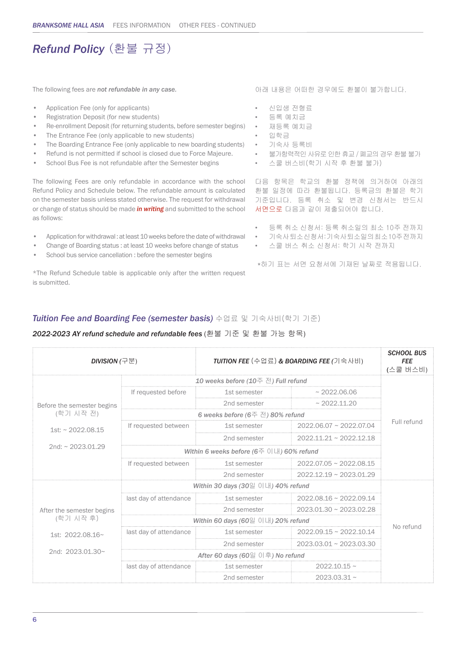# *Refund Policy* (환불 규정)

The following fees are *not refundable in any case.*

- Application Fee (only for applicants)
- Registration Deposit (for new students)
- Re-enrollment Deposit (for returning students, before semester begins)
- The Entrance Fee (only applicable to new students)
- The Boarding Entrance Fee (only applicable to new boarding students)
- Refund is not permitted if school is closed due to Force Majeure.
- School Bus Fee is not refundable after the Semester begins

The following Fees are only refundable in accordance with the school Refund Policy and Schedule below. The refundable amount is calculated on the semester basis unless stated otherwise. The request for withdrawal or change of status should be made *in writing* and submitted to the school as follows:

- Application for withdrawal : at least 10 weeks before the date of withdrawal
- Change of Boarding status : at least 10 weeks before change of status
- School bus service cancellation : before the semester begins

\*The Refund Schedule table is applicable only after the written request is submitted.

아래 내용은 어떠한 경우에도 환불이 불가합니다.

- 신입생 전형료
- 등록 예치금
- 재등록 예치금
- 입학금
- 기숙사 등록비
- 불가항력적인 사유로 인한 휴교 / 폐교의 경우 환불 불가
- 스쿨 버스비(학기 시작 후 환불 불가)

다음 항목은 학교의 환불 정책에 의거하여 아래의 환불 일정에 따라 환불됩니다. 등록금의 환불은 학기 기준입니다. 등록 취소 및 변경 신청서는 반드시 서면으로 다음과 같이 제출되어야 합니다.

- 등록 취소 신청서: 등록 취소일의 최소 10주 전까지
- 기숙사 퇴소 신청서: 기숙사 퇴소일의 최소 10주 전까지
- 스쿨 버스 취소 신청서: 학기 시작 전까지

\*하기 표는 서면 요청서에 기재된 날짜로 적용됩니다.

### *Tuition Fee and Boarding Fee (semester basis)* 수업료 및 기숙사비(학기 기준)

#### *2022-2023 AY refund schedule and refundable fees* (환불 기준 및 환불 가능 항목)

| <b>DIVISION</b> (구분)       |                                                | TUITION FEE (수업료) & BOARDING FEE (기숙사비)              | <b>SCHOOL BUS</b><br><b>FEE</b><br>(스쿨 버스비) |             |
|----------------------------|------------------------------------------------|------------------------------------------------------|---------------------------------------------|-------------|
|                            | 10 weeks before (10주 전) Full refund            |                                                      |                                             |             |
|                            | If requested before                            | 1st semester                                         | ~2022.06.06                                 |             |
| Before the semester begins |                                                | 2nd semester                                         | ~2022.11.20                                 |             |
| (학기 시작 전)                  |                                                | 6 weeks before (6주 전) 80% refund                     |                                             |             |
| $1st: \sim 2022.08.15$     | If requested between                           | 1st semester                                         | 2022.06.07 ~ 2022.07.04                     | Full refund |
|                            |                                                | 2nd semester                                         | $2022.11.21 \approx 2022.12.18$             |             |
| 2nd: ~ 2023.01.29          | Within 6 weeks before (6주 이내) 60% refund       |                                                      |                                             |             |
|                            | If requested between                           | 1st semester                                         | $2022.07.05 \sim 2022.08.15$                |             |
|                            |                                                | 2nd semester                                         | $2022.12.19 \sim 2023.01.29$                |             |
|                            |                                                | Within 30 days $(30 \& 0 \cup \parallel)$ 40% refund |                                             |             |
|                            | last day of attendance                         | 1st semester                                         | 2022.08.16 ~ 2022.09.14                     |             |
| After the semester begins  |                                                | 2nd semester                                         | $2023.01.30 \sim 2023.02.28$                |             |
| (학기 시작 후)                  | Within 60 days $(60 \leq 0 \leq 1)$ 20% refund |                                                      |                                             |             |
| 1st: 2022.08.16~           | last day of attendance                         | 1st semester                                         | $2022.09.15 \sim 2022.10.14$                | No refund   |
|                            |                                                | 2nd semester                                         | $2023.03.01 \sim 2023.03.30$                |             |
| 2nd: 2023.01.30~           | After 60 days (60일 이후) No refund               |                                                      |                                             |             |
|                            | last day of attendance                         | 1st semester                                         | $2022.10.15 \sim$                           |             |
|                            |                                                | 2nd semester                                         | $2023.03.31 \sim$                           |             |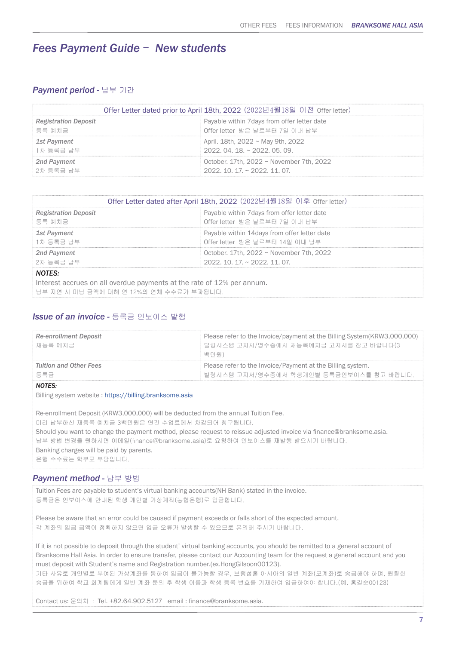### *Fees Payment Guide* - *New students*

### *Payment period -* 납부 기간

| Offer Letter dated prior to April 18th, 2022 (2022년4월18일 이전 Offer letter) |                                               |  |  |
|---------------------------------------------------------------------------|-----------------------------------------------|--|--|
| <b>Registration Deposit</b>                                               | Payable within 7 days from offer letter date  |  |  |
| 등록 예치금                                                                    | Offer letter 받은 날로부터 7일 이내 납부                 |  |  |
| <b>1st Payment</b>                                                        | April. 18th, 2022 ~ May 9th, 2022             |  |  |
| 1차 등록금 납부                                                                 | $2022.04.18 \approx 2022.05.09$               |  |  |
| 2nd Payment                                                               | October, 17th, 2022 $\sim$ November 7th, 2022 |  |  |
| i 2차 등록금 납부                                                               | $2022.10.17 \approx 2022.11.07$               |  |  |

| Offer Letter dated after April 18th, 2022 (2022년4월18일 이후 Offer letter) |                                               |  |  |
|------------------------------------------------------------------------|-----------------------------------------------|--|--|
| <b>Registration Deposit</b>                                            | Payable within 7 days from offer letter date  |  |  |
| 등록 예치금                                                                 | Offer letter 받은 날로부터 7일 이내 납부                 |  |  |
| 1st Payment                                                            | Payable within 14 days from offer letter date |  |  |
| 1차 등록금 납부                                                              | Offer letter 받은 날로부터 14일 이내 납부                |  |  |
| October. 17th, 2022 ~ November 7th, 2022<br>2nd Payment                |                                               |  |  |
| 2차 등록금 납부<br>$2022.10.17 \approx 2022.11.07$                           |                                               |  |  |
| <b>NOTES:</b>                                                          |                                               |  |  |
| Interest accrues on all overdue payments at the rate of 12% per annum. |                                               |  |  |
| 납부 지연 시 미납 금액에 대해 연 12%의 연체 수수료가 부과됩니다.                                |                                               |  |  |

### *Issue of an invoice -* 등록금 인보이스 발행

| <b>Re-enrollment Deposit</b><br> 재등록 예치금 | Please refer to the Invoice/payment at the Billing System(KRW3,000,000)<br>빌링시스템 고지서/영수증에서 재등록예치금 고지서를 참고 바랍니다(3<br>백만원) |
|------------------------------------------|--------------------------------------------------------------------------------------------------------------------------|
| Tuition and Other Fees<br>등록금            | Please refer to the Invoice/Payment at the Billing system.<br>빌링시스템 고지서/영수증에서 학생개인별 등록금인보이스를 참고 바랍니다.                    |
| $\lambda$                                |                                                                                                                          |

*NOTES:*

Billing system website : https://billing.branksome.asia

Re-enrollment Deposit (KRW3,000,000) will be deducted from the annual Tuition Fee. 미리 납부하신 재등록 예치금 3백만원은 연간 수업료에서 차감되어 청구됩니다. Should you want to change the payment method, please request to reissue adjusted invoice via finance@branksome.asia. 납부 방법 변경을 원하시면 이메일(finance@branksome.asia)로 요청하여 인보이스를 재발행 받으시기 바랍니다. Banking charges will be paid by parents. 은행 수수료는 학부모 부담입니다.

### *Payment method -* 납부 방법

Tuition Fees are payable to student's virtual banking accounts(NH Bank) stated in the invoice. 등록금은 인보이스에 안내된 학생 개인별 가상계좌(농협은행)로 입금합니다.

Please be aware that an error could be caused if payment exceeds or falls short of the expected amount. 각 계좌의 입금 금액이 정확하지 않으면 입금 오류가 발생할 수 있으므로 유의해 주시기 바랍니다.

If it is not possible to deposit through the student' virtual banking accounts, you should be remitted to a general account of Branksome Hall Asia. In order to ensure transfer, please contact our Accounting team for the request a general account and you must deposit with Student's name and Registration number.(ex.HongGilsoon00123).

기타 사유로 개인별로 부여된 가상계좌를 통하여 입금이 불가능할 경우, 브랭섬홀 아시아의 일반 계좌(모계좌)로 송금해야 하며, 원활한 송금을 위하여 학교 회계팀에게 일반 계좌 문의 후 학생 이름과 학생 등록 번호를 기재하여 입금하여야 합니다.(예. 홍길순00123)

Contact us: 문의처 : Tel. +82.64.902.5127 email : finance@branksome.asia.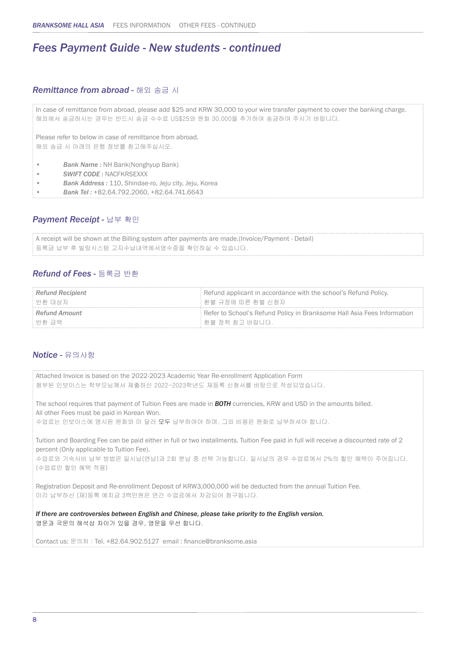### *Fees Payment Guide - New students - continued*

### *Remittance from abroad -* 해외 송금 시

In case of remittance from abroad, please add \$25 and KRW 30,000 to your wire transfer payment to cover the banking charge. 해외에서 송금하시는 경우는 반드시 송금 수수료 US\$25와 원화 30,000을 추가하여 송금하여 주시기 바랍니다. Please refer to below in case of remittance from abroad. 해외 송금 시 아래의 은행 정보를 참고해주십시오. • *Bank Name :* NH Bank(Nonghyup Bank) • *SWIFT CODE :* NACFKRSEXXX • *Bank Address :* 110, Shindae-ro, Jeju city, Jeju, Korea • *Bank Tel :* +82.64.792.2060, +82.64.741.6643

### *Payment Receipt -* 납부 확인

```
A receipt will be shown at the Billing system after payments are made.(Invoice/Payment - Detail)
등록금 납부 후 빌링시스템 고지수납내역에서영수증을 확인하실 수 있습니다.
```
### *Refund of Fees -* 등록금 반환

| <b>Refund Recipient</b> | Refund applicant in accordance with the school's Refund Policy.         |
|-------------------------|-------------------------------------------------------------------------|
| ! 반환 대상자                | ┊환불 규정에 따른 환불 신청자                                                       |
| <b>Refund Amount</b>    | Refer to School's Refund Policy in Branksome Hall Asia Fees Information |
| ┊ 반환 금액                 | ┊환불 정책 참고 바랍니다.                                                         |

### *Notice -* 유의사항

Attached Invoice is based on the 2022-2023 Academic Year Re-enrollment Application Form 첨부된 인보이스는 학부모님께서 제출하신 2022-2023학년도 재등록 신청서를 바탕으로 작성되었습니다. The school requires that payment of Tuition Fees are made in *BOTH* currencies, KRW and USD in the amounts billed. All other Fees must be paid in Korean Won. 수업료는 인보이스에 명시된 원화와 미 달러 모두 납부하여야 하며, 그외 비용은 원화로 납부하셔야 합니다. Tuition and Boarding Fee can be paid either in full or two installments. Tuition Fee paid in full will receive a discounted rate of 2 percent (Only applicable to Tuition Fee). 수업료와 기숙사비 납부 방법은 일시납(연납)과 2회 분납 중 선택 가능합니다. 일시납의 경우 수업료에서 2%의 할인 혜택이 주어집니다. (수업료만 할인 혜택 적용) Registration Deposit and Re-enrollment Deposit of KRW3,000,000 will be deducted from the annual Tuition Fee. 미리 납부하신 (재)등록 예치금 3백만원은 연간 수업료에서 차감되어 청구됩니다.

*If there are controversies between English and Chinese, please take priority to the English version.*  영문과 국문의 해석상 차이가 있을 경우, 영문을 우선 합니다.

Contact us: 문의처 : Tel. +82.64.902.5127 email : finance@branksome.asia